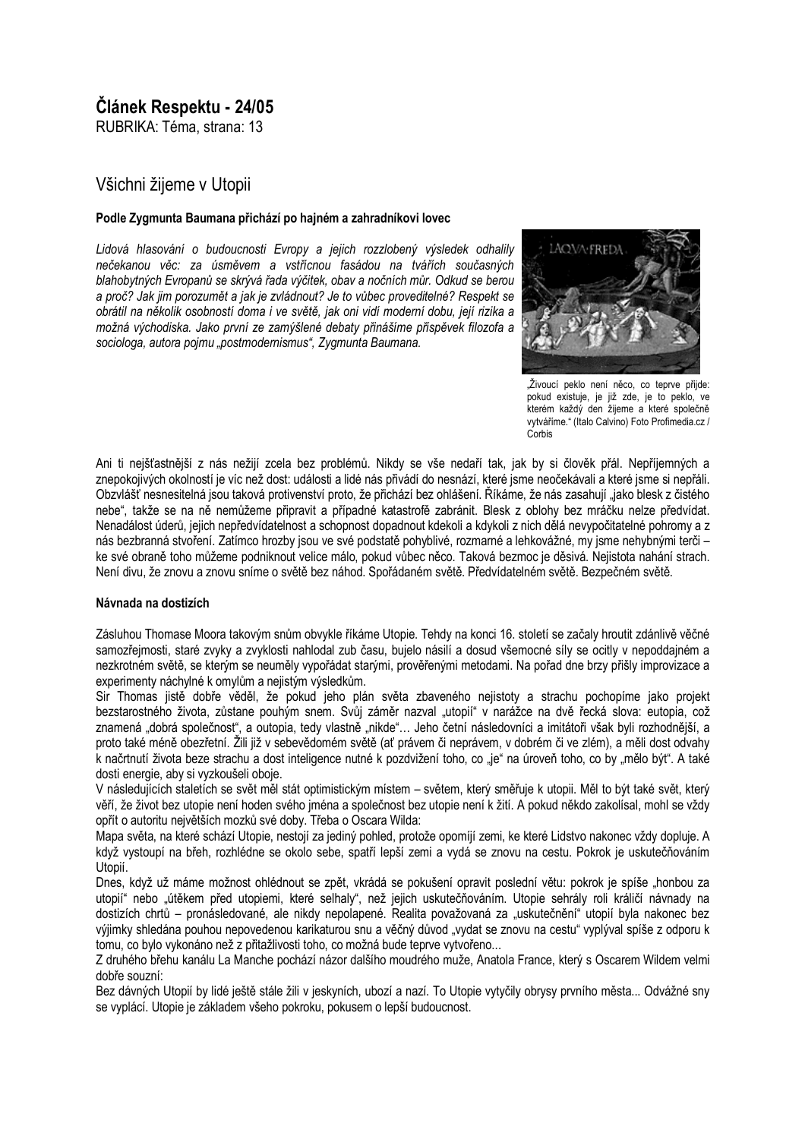# Článek Respektu - 24/05

RUBRIKA: Téma, strana: 13

## Všichni žijeme v Utopij

#### Podle Zygmunta Baumana přichází po hajném a zahradníkovi lovec

Lidová hlasování o budoucnosti Evropy a jejich rozzlobený výsledek odhalily nečekanou věc: za úsměvem a vstřícnou fasádou na tvářích současných blahobytných Evropanů se skrývá řada výčitek, obav a nočních můr. Odkud se berou a proč? Jak jim porozumět a jak je zvládnout? Je to vůbec proveditelné? Respekt se obrátil na několik osobností doma i ve světě, jak oni vidí moderní dobu, její rizika a možná východiska. Jako první ze zamýšlené debaty přinášíme příspěvek filozofa a sociologa, autora poimu "postmodernismus", Zygmunta Baumana.



"Živoucí peklo není něco, co teprve přijde: pokud existuje, je již zde, je to peklo, ve kterém každý den žijeme a které společně vytváříme." (Italo Calvino) Foto Profimedia.cz / Corbis

Ani ti neišťastnější z nás nežijí zcela bez problémů. Nikdy se vše nedaří tak, jak by si člověk přál. Nepříjemných a znepokojivých okolností je víc než dost: události a lidé nás přivádí do nesnází, které jsme neočekávali a které jsme si nepřáli. Obzvlášť nesnesitelná jsou taková protivenství proto, že přichází bez ohlášení. Říkáme, že nás zasahují "jako blesk z čistého nebe", takže se na ně nemůžeme připravit a případné katastrofě zabránit. Blesk z oblohy bez mráčku nelze předvídat. Nenadálost úderů, jejich nepředvídatelnost a schopnost dopadnout kdekoli a kdykoli z nich dělá nevypočitatelné pohromy a z nás bezbranná stvoření. Zatímco hrozby jsou ve své podstatě pohyblivé, rozmarné a lehkovážné, my jsme nehybnými terči ke své obraně toho můžeme podniknout velice málo, pokud vůbec něco. Taková bezmoc je děsivá. Nejistota nahání strach. Není divu, že znovu a znovu sníme o světě bez náhod. Spořádaném světě. Předvídatelném světě. Bezpečném světě.

#### Návnada na dostizích

Zásluhou Thomase Moora takovým snům obvykle říkáme Utopie. Tehdy na konci 16. století se začaly hroutit zdánlivě věčné samozřejmosti, staré zvyky a zvyklosti nahlodal zub času, bujelo násilí a dosud všemocné síly se ocitly v nepoddajném a nezkrotném světě, se kterým se neuměly vypořádat starými, prověřenými metodami. Na pořad dne brzy přišly improvizace a experimenty náchylné k omylům a nejistým výsledkům.

Sir Thomas jistě dobře věděl, že pokud jeho plán světa zbaveného nejistoty a strachu pochopíme jako projekt bezstarostného života, zůstane pouhým snem. Svůj záměr nazval "utopií" v narážce na dvě řecká slova: eutopia, což znamená "dobrá společnost", a outopia, tedy vlastně "nikde"... Jeho četní následovníci a imitátoři však byli rozhodnější, a proto také méně obezřetní. Žili již v sebevědomém světě (ať právem či neprávem, v dobrém či ve zlém), a měli dost odvahy k načrtnutí života beze strachu a dost inteligence nutné k pozdvižení toho, co "je" na úroveň toho, co by "mělo být". A také dosti energie, aby si vyzkoušeli oboje.

V následujících staletích se svět měl stát optimistickým místem – světem, který směřuje k utopii. Měl to být také svět, který věří, že život bez utopie není hoden svého iména a společnost bez utopie není k žití. A pokud někdo zakolísal, mohl se vždy opřít o autoritu největších mozků své doby. Třeba o Oscara Wilda:

Mapa světa, na které schází Utopie, nestojí za jediný pohled, protože opomíjí zemi, ke které Lidstvo nakonec vždy dopluje. A když vystoupí na břeh, rozhlédne se okolo sebe, spatří lepší zemi a vydá se znovu na cestu. Pokrok je uskutečňováním Utopií.

Dnes, když už máme možnost ohlédnout se zpět, vkrádá se pokušení opravit poslední větu: pokrok je spíše "honbou za utopií" nebo "útěkem před utopiemi, které selhaly", než jejich uskutečňováním. Utopie sehrály roli králičí návnady na dostizích chrtů – pronásledované, ale nikdy nepolapené. Realita považovaná za "uskutečnění" utopií byla nakonec bez výjimky shledána pouhou nepovedenou karikaturou snu a věčný důvod "vydat se znovu na cestu" vyplýval spíše z odporu k tomu, co bylo vykonáno než z přitažlivosti toho, co možná bude teprve vytvořeno...

Z druhého břehu kanálu La Manche pochází názor dalšího moudrého muže. Anatola France, který s Oscarem Wildem velmi dobře souzní:

Bez dávných Utopií by lidé ještě stále žili v jeskyních, ubozí a nazí. To Utopie vytyčily obrysy prvního města... Odvážné sny se vyplácí. Utopie je základem všeho pokroku, pokusem o lepší budoucnost.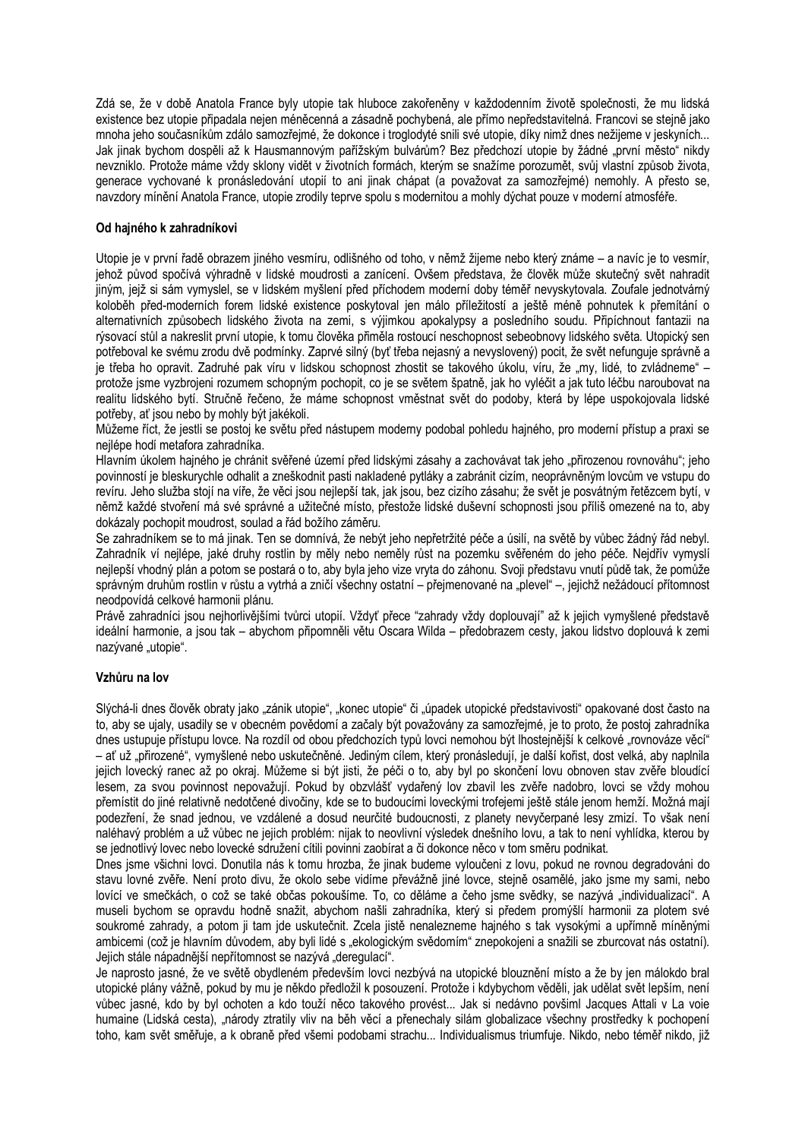Zdá se, že v době Anatola France byly utopie tak hluboce zakořeněny v každodenním životě společnosti, že mu lidská existence bez utopie připadala nejen méněcenná a zásadně pochybená, ale přímo nepředstavitelná. Francovi se stejně jako mnoha jeho současníkům zdálo samozřejmé, že dokonce i troglodyté snili své utopie, díky nimž dnes nežijeme v jeskyních... Jak jinak bychom dospěli až k Hausmannovým pařížským bulvárům? Bez předchozí utopie by žádné "první město" nikdy nevzniklo. Protože máme vždy sklony vidět v životních formách, kterým se snažíme porozumět, svůj vlastní způsob života, generace vychované k pronásledování utopií to ani jinak chápat (a považovat za samozřejmé) nemohly. A přesto se, navzdory mínění Anatola France, utopie zrodily teprve spolu s modernitou a mohly dýchat pouze v moderní atmosféře.

#### Od hainého k zahradníkovi

Utopie je v první řadě obrazem jiného vesmíru, odlišného od toho, v němž žijeme nebo který známe – a navíc je to vesmír, jehož původ spočívá výhradně v lidské moudrosti a zanícení. Ovšem představa, že člověk může skutečný svět nahradit jiným, jejž si sám vymyslel, se v lidském myšlení před příchodem moderní doby téměř nevyskytovala. Zoufale jednotvárný koloběh před-moderních forem lidské existence poskytoval jen málo příležitostí a ještě méně pohnutek k přemítání o alternativních způsobech lidského života na zemi, s výjimkou apokalypsy a posledního soudu. Připíchnout fantazii na rýsovací stůl a nakreslit první utopie, k tomu člověka přiměla rostoucí neschopnost sebeobnovy lidského světa. Utopický sen potřeboval ke svému zrodu dvě podmínky. Zaprvé silný (byť třeba nejasný a nevyslovený) pocit, že svět nefunguje správně a je třeba ho opravit. Zadruhé pak víru v lidskou schopnost zhostit se takového úkolu, víru, že "my, lidé, to zvládneme" – protože isme vyzbrojení rozumem schopným pochopit, co je se světem špatně, jak ho vyléčit a jak tuto léčbu naroubovat na realitu lidského bytí. Stručně řečeno, že máme schopnost vměstnat svět do podoby, která by lépe uspokojovala lidské potřeby, ať jsou nebo by mohly být jakékoli.

Můžeme říct, že jestli se postoj ke světu před nástupem moderny podobal pohledu hajného, pro moderní přístup a praxi se neilépe hodí metafora zahradníka.

Hlavním úkolem hajného je chránit svěřené území před lidskými zásahy a zachovávat tak jeho "přirozenou rovnováhu"; jeho povinností je bleskurychle odhalit a zneškodnit pasti nakladené pytláky a zabránit cizím, neoprávněným lovcům ve vstupu do revíru. Jeho služba stojí na víře, že věci jsou nejlepší tak, jak jsou, bez cizího zásahu; že svět je posvátným řetězcem bytí, v němž každé stvoření má své správné a užitečné místo, přestože lidské duševní schopnosti jsou příliš omezené na to, aby dokázaly pochopit moudrost, soulad a řád božího záměru.

Se zahradníkem se to má jinak. Ten se domnívá, že nebýt jeho nepřetržité péče a úsilí, na světě by vůbec žádný řád nebyl. Zahradník ví nejlépe, jaké druhy rostlin by měly nebo neměly růst na pozemku svěřeném do jeho péče. Nejdřív vymyslí nejlepší vhodný plán a potom se postará o to, aby byla jeho vize vryta do záhonu. Svoji představu vnutí půdě tak, že pomůže správným druhům rostlin v růstu a vytrhá a zničí všechny ostatní – přejmenované na "plevel" –, jejichž nežádoucí přítomnost neodpovídá celkové harmonii plánu.

Právě zahradníci jsou nejhorlivějšími tvůrci utopií. Vždyť přece "zahrady vždy doplouvají" až k jejich vymyšlené představě ideální harmonie, a jsou tak – abychom připomněli větu Oscara Wilda – předobrazem cesty, jakou lidstvo doplouvá k zemi nazývané "utopie".

## Vzhůru na lov

Slýchá-li dnes člověk obraty jako "zánik utopie", "konec utopie" či "úpadek utopické představivosti" opakované dost často na to, aby se ujaly, usadily se v obecném povědomí a začaly být považovány za samozřejmé, je to proto, že postoj zahradníka dnes ustupuje přístupu lovce. Na rozdíl od obou předchozích typů lovci nemohou být lhostejnější k celkové "rovnováze věcí" – ať už "přirozené", vymyšlené nebo uskutečněné, Jediným cílem, který pronásledují, je další kořist, dost velká, aby naplnila jejich lovecký ranec až po okraj. Můžeme si být jisti, že péči o to, aby byl po skončení lovu obnoven stav zvěře bloudící lesem, za svou povinnost nepovažují. Pokud by obzvlášť vydařený lov zbavil les zvěře nadobro, lovci se vždy mohou přemístit do jiné relativně nedotčené divočiny, kde se to budoucími loveckými trofejemi ještě stále jenom hemží. Možná mají podezření, že snad jednou, ve vzdálené a dosud neurčité budoucnosti, z planety nevyčerpané lesy zmizí. To však není naléhavý problém a už vůbec ne jejich problém: nijak to neovlivní výsledek dnešního lovu, a tak to není vyhlídka, kterou by se jednotlivý lovec nebo lovecké sdružení cítili povinni zaobírat a či dokonce něco v tom směru podnikat.

Dnes jsme všichni lovci. Donutila nás k tomu hrozba, že jinak budeme vyloučeni z lovu, pokud ne rovnou degradováni do stavu lovné zvěře. Není proto divu, že okolo sebe vidíme převážně jiné lovce, stejně osamělé, jako jsme my sami, nebo lovící ve smečkách, o což se také občas pokoušíme. To, co děláme a čeho jsme svědky, se nazývá "individualizací". A museli bychom se opravdu hodně snažit, abychom našli zahradníka, který si předem promýšlí harmonii za plotem své soukromé zahrady, a potom ji tam ide uskutečnit. Zcela jistě nenalezneme hajného s tak vysokými a upřímně míněnými ambicemi (což je hlavním důvodem, aby byli lidé s "ekologickým svědomím" znepokojeni a snažili se zburcovat nás ostatní). Jeiich stále nápadnější nepřítomnost se nazývá "deregulací".

Je naprosto jasné, že ve světě obydleném především lovci nezbývá na utopické blouznění místo a že by jen málokdo bral utopické plány vážně, pokud by mu je někdo předložil k posouzení. Protože i kdybychom věděli, jak udělat svět lepším, není vůbec jasné, kdo by byl ochoten a kdo touží něco takového provést... Jak si nedávno povšiml Jacques Attali v La voie humaine (Lidská cesta), "národy ztratily vliv na běh věcí a přenechaly silám globalizace všechny prostředky k pochopení toho, kam svět směřuje, a k obraně před všemi podobami strachu... Individualismus triumfuje. Nikdo, nebo téměř nikdo, již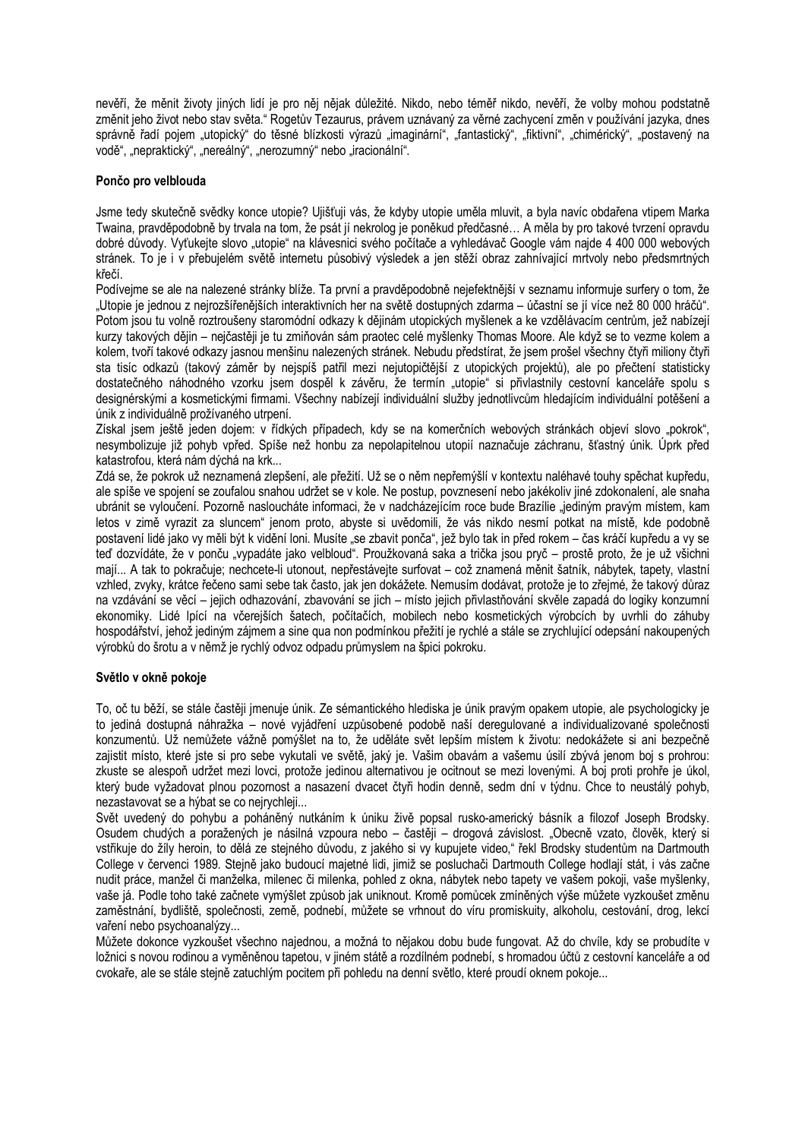nevěří, že měnit životy jiných lidí je pro něj nějak důležité. Nikdo, nebo téměř nikdo, nevěří, že volby mohou podstatně změnit jeho život nebo stav světa." Rogetův Tezaurus, právem uznávaný za věrné zachycení změn v používání jazyka, dnes správně řadí pojem "utopický" do těsné blízkosti výrazů "imaginární", "fantastický", "fiktivní", "chimérický", "postavený na vodě", "nepraktický", "nereálný", "nerozumný" nebo "iracionální".

#### Pončo pro velblouda

Jsme tedy skutečně svědky konce utopie? Ujišťuji vás, že kdyby utopie uměla mluvit, a byla navíc obdařena vtipem Marka Twaina, pravděpodobně by trvala na tom, že psát jí nekrolog je poněkud předčasné... A měla by pro takové tyrzení opravdu dobré důvody. Vyťukejte slovo "utopie" na klávesnici svého počítače a vyhledávač Google vám najde 4 400 000 webových stránek. To je i v přebujelém světě internetu působivý výsledek a jen stěží obraz zahnívající mrtvoly nebo předsmrtných křečí.

Podívejme se ale na nalezené stránky blíže. Ta první a pravděpodobně nejefektnější v seznamu informuje surfery o tom. že "Utopie je jednou z nejrozšířenějších interaktivních her na světě dostupných zdarma – účastní se jí více než 80 000 hráčů". Potom jsou tu volně roztroušeny staromódní odkazy k dějinám utopických myšlenek a ke vzdělávacím centrům, jež nabízejí kurzy takových dějin – nejčastěji je tu zmiňován sám praotec celé myšlenky Thomas Moore. Ale když se to vezme kolem a kolem, tvoří takové odkazy jasnou menšinu nalezených stránek. Nebudu předstírat, že jsem prošel všechny čtyři miliony čtyři sta tisíc odkazů (takový záměr by nejspíš patřil mezi nejutopičtější z utopických projektů), ale po přečtení statisticky dostatečného náhodného vzorku jsem dospěl k závěru. Že termín "utopie" si přivlastnily cestovní kanceláře spolu s designérskými a kosmetickými firmami. Všechny nabízejí individuální služby jednotlivcům hledajícím individuální potěšení a únik z individuálně prožívaného utrpení.

Získal jsem ještě jeden dojem: v řídkých případech, kdy se na komerčních webových stránkách objeví slovo "pokrok", nesvmbolizuje již pohyb vpřed. Spíše než honbu za nepolapitelnou utopií naznačuje záchranu, šťastný únik. Úprk před katastrofou, která nám dýchá na krk...

Zdá se, že pokrok už neznamená zlepšení, ale přežití. Už se o něm nepřemýšlí v kontextu naléhavé touhy spěchat kupředu, ale spíše ve spojení se zoufalou snahou udržet se v kole. Ne postup, povznesení nebo jakékoliv jiné zdokonalení, ale snaha ubránit se vyloučení. Pozorně nasloucháte informaci, že v nadcházejícím roce bude Brazílie "jediným pravým místem, kam letos v zimě vyrazit za sluncem" jenom proto, abyste si uvědomili, že vás nikdo nesmí potkat na místě, kde podobně postavení lidé jako vy měli být k vidění loni. Musíte "se zbavit ponča", jež bylo tak in před rokem – čas kráčí kupředu a vy se teď dozvídáte, že v ponču "vypadáte jako velbloud". Proužkovaná saka a trička jsou pryč – prostě proto, že je už všichni mají... A tak to pokračuje; nechcete-li utonout, nepřestávejte surfovat - což znamená měnit šatník, nábytek, tapety, vlastní vzhled, zvyky, krátce řečeno sami sebe tak často, jak jen dokážete. Nemusím dodávat, protože je to zřejmé, že takový důraz na vzdávání se věcí – jejich odhazování, zbavování se jich – místo jejich přivlastňování skvěle zapadá do logiky konzumní ekonomiky. Lidé lpící na včerejších šatech, počítačích, mobilech nebo kosmetických výrobcích by uvrhli do záhubv hospodářství, jehož jediným zájmem a sine qua non podmínkou přežití je rychlé a stále se zrychlující odepsání nakoupených výrobků do šrotu a v němž je rychlý odvoz odpadu průmyslem na špici pokroku.

#### Světlo v okně pokoje

To, oč tu běží, se stále častěji jmenuje únik. Ze sémantického hlediska je únik pravým opakem utopie, ale psychologicky je to jediná dostupná náhražka – nové vyjádření uzpůsobené podobě naší deregulované a individualizované společnosti konzumentů. Už nemůžete vážně pomýšlet na to, že uděláte svět lepším místem k životu: nedokážete si ani bezpečně zajistit místo, které jste si pro sebe vykutali ve světě, jaký je. Vašim obavám a vašemu úsilí zbývá jenom boj s prohrou: zkuste se alespoň udržet mezi lovci, protože jedinou alternativou je ocitnout se mezi lovenými. A boj proti prohře je úkol, který bude vyžadovat plnou pozornost a nasazení dvacet čtyři hodin denně, sedm dní v týdnu. Chce to neustálý pohyb, nezastavovat se a hýbat se co nejrychleji...

Svět uvedený do pohybu a poháněný nutkáním k úniku živě popsal rusko-americký básník a filozof Joseph Brodsky. Osudem chudých a poražených je násilná vzpoura nebo – častěji – drogová závislost. "Obecně vzato, člověk, který si vstřikuje do žíly heroin, to dělá ze stejného důvodu, z jakého si vy kupujete video," řekl Brodsky studentům na Dartmouth College v červenci 1989. Stejně jako budoucí majetné lidi, jimiž se posluchači Dartmouth College hodlají stát, i vás začne nudit práce, manžel či manželka, milenec či milenka, pohled z okna, nábytek nebo tapety ve vašem pokoji, vaše myšlenky, vaše já. Podle toho také začnete vymýšlet způsob jak uniknout. Kromě pomůcek zmíněných výše můžete vyzkoušet změnu zaměstnání, bydliště, společnosti, země, podnebí, můžete se vrhnout do víru promiskuity, alkoholu, cestování, drog, lekcí vaření nebo psychoanalýzy...

Můžete dokonce vyzkoušet všechno najednou, a možná to nějakou dobu bude fungovat. Až do chvíle, kdy se probudíte v ložnici s novou rodinou a vyměněnou tapetou, v jiném státě a rozdílném podnebí, s hromadou účtů z cestovní kanceláře a od cvokaře, ale se stále stejně zatuchlým pocitem při pohledu na denní světlo, které proudí oknem pokoje...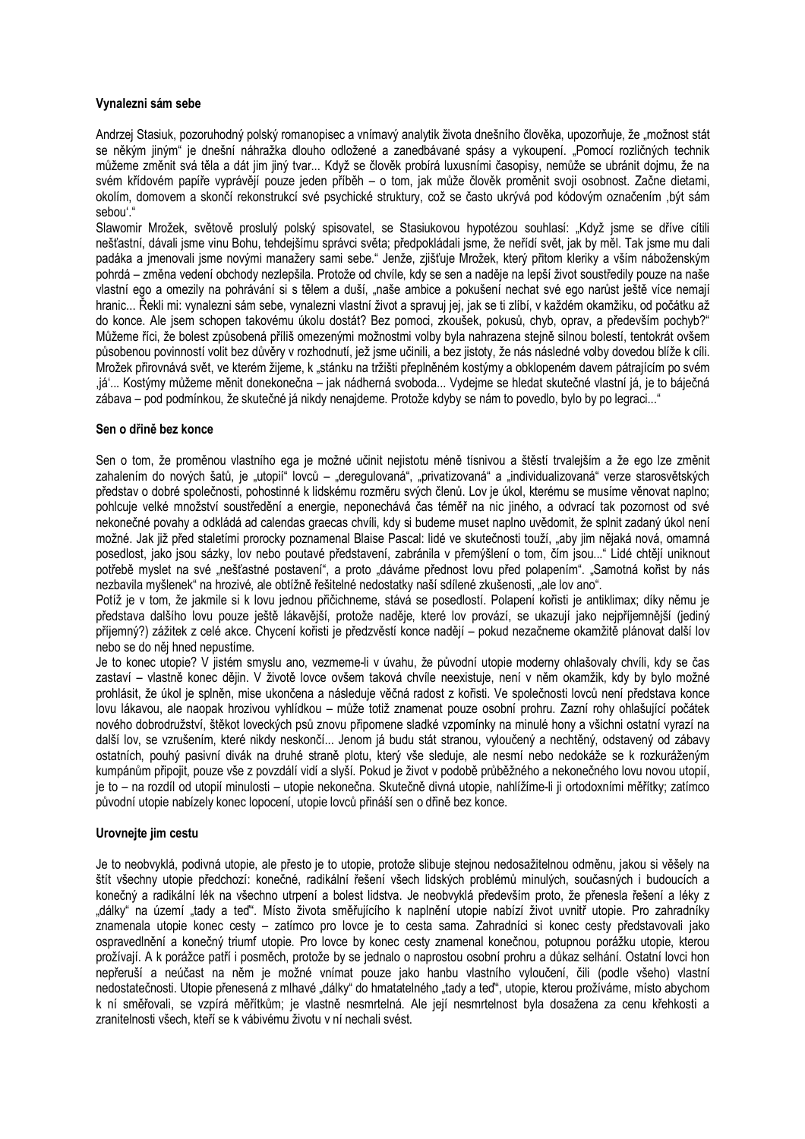#### Vynalezni sám sebe

Andrzej Stasiuk, pozoruhodný polský romanopisec a vnímavý analytik života dnešního člověka, upozorňuje, že "možnost stát se někým jiným" je dnešní náhražka dlouho odložené a zanedbávané spásy a vykoupení. "Pomocí rozličných technik můžeme změnit svá těla a dát jim jiný tvar... Když se člověk probírá luxusními časopisy, nemůže se ubránit dojmu, že na svém křídovém papíře vyprávějí pouze jeden příběh - o tom, jak může člověk proměnit svoji osobnost. Začne dietami, okolím, domovem a skončí rekonstrukcí své psychické struktury, což se často ukrývá pod kódovým označením "být sám sebou'."

Slawomir Mrožek, světově proslulý polský spisovatel, se Stasiukovou hvpotézou souhlasí: "Když isme se dříve cítili nešťastní, dávali jsme vinu Bohu, tehdejšímu správci světa; předpokládali jsme, že neřídí svět, jak by měl. Tak jsme mu dali padáka a jmenovali jsme novými manažery sami sebe." Jenže, zjišťuje Mrožek, který přitom kleriky a vším náboženským pohrdá – změna vedení obchody nezlepšila. Protože od chvíle, kdy se sen a naděje na lepší život soustředily pouze na naše vlastní ego a omezily na pohrávání si s tělem a duší. "naše ambice a pokušení nechat své ego narůst ještě více nemají hranic... Řekli mi: vynalezni sám sebe, vynalezni vlastní život a spravuj jej, jak se ti zlíbí, v každém okamžiku, od počátku až do konce. Ale jsem schopen takovému úkolu dostát? Bez pomoci, zkoušek, pokusů, chyb, oprav, a především pochyb?" Můžeme říci, že bolest způsobená příliš omezenými možnostmi volby byla nahrazena stejně silnou bolestí, tentokrát ovšem působenou povinností volit bez důvěry v rozhodnutí, jež jsme učinili, a bez jistoty, že nás následné volby dovedou blíže k cíli. Mrožek přirovnává svět, ve kterém žijeme, k "stánku na tržišti přeplněném kostýmy a obklopeném davem pátrajícím po svém .iá'... Kostýmy můžeme měnit donekonečna – iak nádherná svoboda... Vydeime se hledat skutečné vlastní iá, ie to báiečná zábava – pod podmínkou, že skutečné já nikdy nenajdeme. Protože kdyby se nám to povedlo, bylo by po legraci..."

#### Sen o dřině bez konce

Sen o tom, že proměnou vlastního ega je možné učinit nejistotu méně tísnivou a štěstí trvalejším a že ego lze změnit zahalením do nových šatů, je "utopií" lovců – "deregulovaná", "privatizovaná" a "individualizovaná" verze starosvětských představ o dobré společnosti, pohostinné k lidskému rozměru svých členů. Lov je úkol, kterému se musíme věnovat naplno; pohlcuje velké množství soustředění a energie, neponechává čas téměř na nic jiného, a odvrací tak pozornost od své nekonečné povahy a odkládá ad calendas graecas chvíli, kdy si budeme muset naplno uvědomit, že splnit zadaný úkol není možné. Jak již před staletími prorocky poznamenal Blaise Pascal: lidé ve skutečnosti touží, "aby jim nějaká nová, omamná posedlost, jako jsou sázky, lov nebo poutavé představení, zabránila v přemýšlení o tom, čím jsou..." Lidé chtějí uniknout potřebě myslet na své "nešťastné postavení", a proto "dáváme přednost lovu před polapením". "Samotná kořist by nás nezbavila myšlenek" na hrozivé, ale obtížně řešitelné nedostatky naší sdílené zkušenosti, "ale lov ano".

Potíž je v tom, že jakmile si k lovu jednou přičichneme, stává se posedlostí. Polapení kořisti je antiklimax; díky němu je představa dalšího lovu pouze ještě lákavější, protože naděje, které lov provází, se ukazují jako nejpříjemnější (jediný příjemný?) zážitek z celé akce. Chycení kořisti je předzvěstí konce nadějí – pokud nezačneme okamžité plánovat další lov nebo se do něj hned nepustíme.

Je to konec utopie? V jistém smyslu ano, vezmeme-li v úvahu, že původní utopie moderny ohlašovaly chvíli, kdy se čas zastaví – vlastně konec dějin. V životě lovce ovšem taková chvíle neexistuje, není v něm okamžik, kdy by bylo možné prohlásit, že úkol je splněn, mise ukončena a následuje věčná radost z kořisti. Ve společnosti lovců není představa konce lovu lákavou, ale naopak hrozivou vyhlídkou - může totiž znamenat pouze osobní prohru. Zazní rohy ohlašující počátek nového dobrodružství, štěkot loveckých psů znovu připomene sladké vzpomínky na minulé hony a všichni ostatní vyrazí na další lov, se vzrušením, které nikdy neskončí... Jenom já budu stát stranou, vyloučený a nechtěný, odstavený od zábavy ostatních, pouhý pasivní divák na druhé straně plotu, který vše sleduje, ale nesmí nebo nedokáže se k rozkuráženým kumpánům připojit, pouze vše z povzdálí vidí a slyší. Pokud je život v podobě průběžného a nekonečného lovu novou utopií, je to - na rozdíl od utopií minulosti - utopie nekonečna. Skutečně divná utopie, nahlížíme-li ji ortodoxními měřítky; zatímco původní utopie nabízely konec lopocení, utopie lovců přináší sen o dřině bez konce.

#### Urovneite jim cestu

Je to neobvyklá, podivná utopie, ale přesto je to utopie, protože slibuje stejnou nedosažitelnou odměnu, jakou si věšely na štít všechny utopie předchozí: konečné, radikální řešení všech lidských problémů minulých, současných i budoucích a konečný a radikální lék na všechno utrpení a bolest lidstva. Je neobvyklá především proto, že přenesla řešení a léky z "dálky" na území "tady a teď". Místo života směřujícího k naplnění utopie nabízí život uvnitř utopie. Pro zahradníky znamenala utopie konec cesty – zatímco pro lovce je to cesta sama. Zahradníci si konec cesty představovali jako ospravedlnění a konečný triumf utopie. Pro lovce by konec cesty znamenal konečnou, potupnou porážku utopie, kterou prožívají. A k porážce patří i posměch, protože by se jednalo o naprostou osobní prohru a důkaz selhání. Ostatní lovci hon nepřeruší a neúčast na něm je možné vnímat pouze jako hanbu vlastního vyloučení, čili (podle všeho) vlastní nedostatečnosti. Utopie přenesená z mlhavé "dálky" do hmatatelného "tady a teď", utopie, kterou prožíváme, místo abychom k ní směřovali, se vzpírá měřítkům; je vlastně nesmrtelná. Ale její nesmrtelnost byla dosažena za cenu křehkosti a zranitelnosti všech, kteří se k vábivému životu v ní nechali svést.